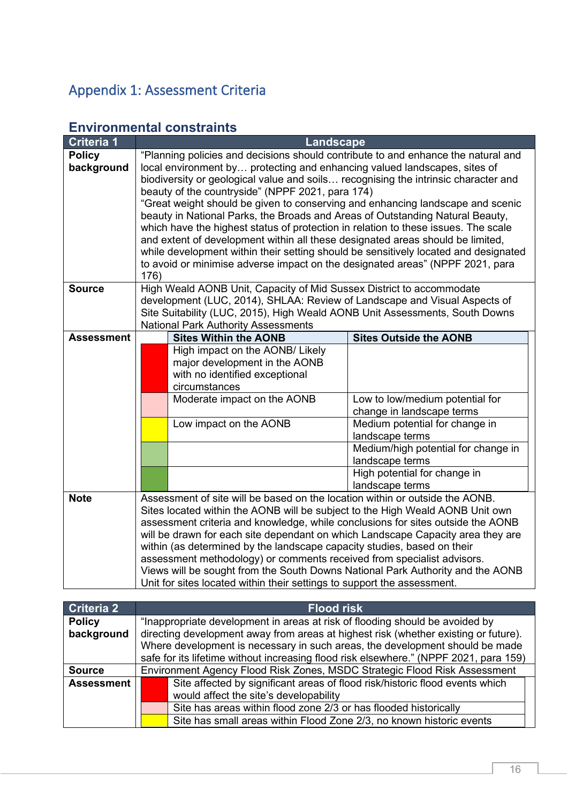## Appendix 1: Assessment Criteria

| <b>Criteria 1</b>           |      | Landscape                                                                                                                                                                                                                                                                                                                                                                                                                                                                                                                                                                                                                                                                                                                                                                                                                   |                                                              |
|-----------------------------|------|-----------------------------------------------------------------------------------------------------------------------------------------------------------------------------------------------------------------------------------------------------------------------------------------------------------------------------------------------------------------------------------------------------------------------------------------------------------------------------------------------------------------------------------------------------------------------------------------------------------------------------------------------------------------------------------------------------------------------------------------------------------------------------------------------------------------------------|--------------------------------------------------------------|
| <b>Policy</b><br>background | 176) | "Planning policies and decisions should contribute to and enhance the natural and<br>local environment by protecting and enhancing valued landscapes, sites of<br>biodiversity or geological value and soils recognising the intrinsic character and<br>beauty of the countryside" (NPPF 2021, para 174)<br>"Great weight should be given to conserving and enhancing landscape and scenic<br>beauty in National Parks, the Broads and Areas of Outstanding Natural Beauty,<br>which have the highest status of protection in relation to these issues. The scale<br>and extent of development within all these designated areas should be limited,<br>while development within their setting should be sensitively located and designated<br>to avoid or minimise adverse impact on the designated areas" (NPPF 2021, para |                                                              |
| <b>Source</b>               |      | High Weald AONB Unit, Capacity of Mid Sussex District to accommodate<br>development (LUC, 2014), SHLAA: Review of Landscape and Visual Aspects of<br>Site Suitability (LUC, 2015), High Weald AONB Unit Assessments, South Downs<br><b>National Park Authority Assessments</b>                                                                                                                                                                                                                                                                                                                                                                                                                                                                                                                                              |                                                              |
| <b>Assessment</b>           |      | <b>Sites Within the AONB</b>                                                                                                                                                                                                                                                                                                                                                                                                                                                                                                                                                                                                                                                                                                                                                                                                | <b>Sites Outside the AONB</b>                                |
|                             |      | High impact on the AONB/ Likely<br>major development in the AONB<br>with no identified exceptional<br>circumstances                                                                                                                                                                                                                                                                                                                                                                                                                                                                                                                                                                                                                                                                                                         |                                                              |
|                             |      | Moderate impact on the AONB                                                                                                                                                                                                                                                                                                                                                                                                                                                                                                                                                                                                                                                                                                                                                                                                 | Low to low/medium potential for<br>change in landscape terms |
|                             |      | Low impact on the AONB                                                                                                                                                                                                                                                                                                                                                                                                                                                                                                                                                                                                                                                                                                                                                                                                      | Medium potential for change in<br>landscape terms            |
|                             |      |                                                                                                                                                                                                                                                                                                                                                                                                                                                                                                                                                                                                                                                                                                                                                                                                                             | Medium/high potential for change in<br>landscape terms       |
|                             |      |                                                                                                                                                                                                                                                                                                                                                                                                                                                                                                                                                                                                                                                                                                                                                                                                                             | High potential for change in<br>landscape terms              |
| <b>Note</b>                 |      | Assessment of site will be based on the location within or outside the AONB.<br>Sites located within the AONB will be subject to the High Weald AONB Unit own<br>assessment criteria and knowledge, while conclusions for sites outside the AONB<br>will be drawn for each site dependant on which Landscape Capacity area they are                                                                                                                                                                                                                                                                                                                                                                                                                                                                                         |                                                              |
|                             |      | within (as determined by the landscape capacity studies, based on their                                                                                                                                                                                                                                                                                                                                                                                                                                                                                                                                                                                                                                                                                                                                                     |                                                              |
|                             |      | assessment methodology) or comments received from specialist advisors.                                                                                                                                                                                                                                                                                                                                                                                                                                                                                                                                                                                                                                                                                                                                                      |                                                              |
|                             |      | Views will be sought from the South Downs National Park Authority and the AONB<br>Unit for sites located within their settings to support the assessment.                                                                                                                                                                                                                                                                                                                                                                                                                                                                                                                                                                                                                                                                   |                                                              |

## **Environmental constraints**

| Criteria 2        |                                                                                       | <b>Flood risk</b>                                                                   |  |
|-------------------|---------------------------------------------------------------------------------------|-------------------------------------------------------------------------------------|--|
| <b>Policy</b>     | "Inappropriate development in areas at risk of flooding should be avoided by          |                                                                                     |  |
| background        |                                                                                       | directing development away from areas at highest risk (whether existing or future). |  |
|                   |                                                                                       | Where development is necessary in such areas, the development should be made        |  |
|                   | safe for its lifetime without increasing flood risk elsewhere." (NPPF 2021, para 159) |                                                                                     |  |
| <b>Source</b>     | Environment Agency Flood Risk Zones, MSDC Strategic Flood Risk Assessment             |                                                                                     |  |
| <b>Assessment</b> |                                                                                       | Site affected by significant areas of flood risk/historic flood events which        |  |
|                   |                                                                                       | would affect the site's developability                                              |  |
|                   |                                                                                       | Site has areas within flood zone 2/3 or has flooded historically                    |  |
|                   |                                                                                       | Site has small areas within Flood Zone 2/3, no known historic events                |  |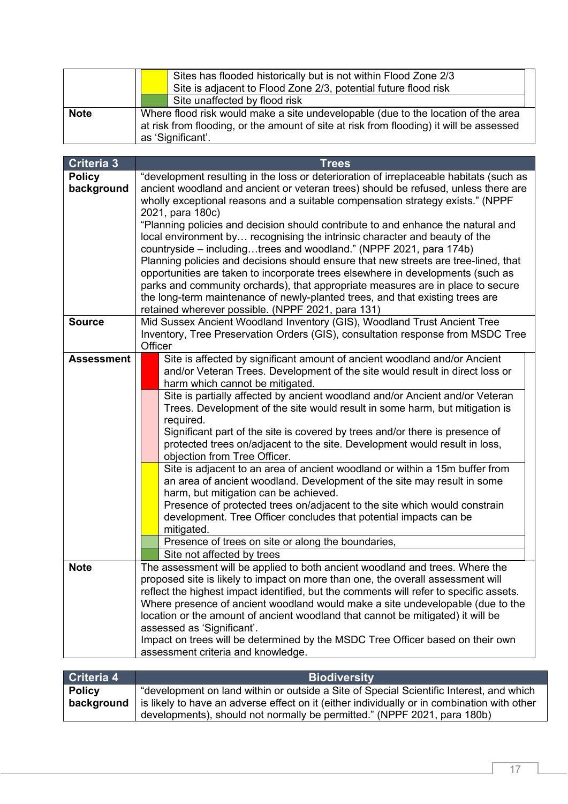|             |  | Sites has flooded historically but is not within Flood Zone 2/3<br>Site is adjacent to Flood Zone 2/3, potential future flood risk                                                                |
|-------------|--|---------------------------------------------------------------------------------------------------------------------------------------------------------------------------------------------------|
|             |  | Site unaffected by flood risk                                                                                                                                                                     |
| <b>Note</b> |  | Where flood risk would make a site undevelopable (due to the location of the area<br>at risk from flooding, or the amount of site at risk from flooding) it will be assessed<br>as 'Significant'. |

| <b>Criteria 3</b> | <b>Trees</b>                                                                                                                                                     |  |
|-------------------|------------------------------------------------------------------------------------------------------------------------------------------------------------------|--|
| <b>Policy</b>     | "development resulting in the loss or deterioration of irreplaceable habitats (such as                                                                           |  |
| background        | ancient woodland and ancient or veteran trees) should be refused, unless there are                                                                               |  |
|                   | wholly exceptional reasons and a suitable compensation strategy exists." (NPPF                                                                                   |  |
|                   | 2021, para 180c)                                                                                                                                                 |  |
|                   | "Planning policies and decision should contribute to and enhance the natural and                                                                                 |  |
|                   | local environment by recognising the intrinsic character and beauty of the                                                                                       |  |
|                   | countryside – includingtrees and woodland." (NPPF 2021, para 174b)                                                                                               |  |
|                   | Planning policies and decisions should ensure that new streets are tree-lined, that                                                                              |  |
|                   | opportunities are taken to incorporate trees elsewhere in developments (such as                                                                                  |  |
|                   | parks and community orchards), that appropriate measures are in place to secure<br>the long-term maintenance of newly-planted trees, and that existing trees are |  |
|                   |                                                                                                                                                                  |  |
|                   | retained wherever possible. (NPPF 2021, para 131)                                                                                                                |  |
| <b>Source</b>     | Mid Sussex Ancient Woodland Inventory (GIS), Woodland Trust Ancient Tree                                                                                         |  |
|                   | Inventory, Tree Preservation Orders (GIS), consultation response from MSDC Tree                                                                                  |  |
|                   | Officer                                                                                                                                                          |  |
| <b>Assessment</b> | Site is affected by significant amount of ancient woodland and/or Ancient                                                                                        |  |
|                   | and/or Veteran Trees. Development of the site would result in direct loss or                                                                                     |  |
|                   | harm which cannot be mitigated.                                                                                                                                  |  |
|                   | Site is partially affected by ancient woodland and/or Ancient and/or Veteran                                                                                     |  |
|                   | Trees. Development of the site would result in some harm, but mitigation is                                                                                      |  |
|                   | required.                                                                                                                                                        |  |
|                   | Significant part of the site is covered by trees and/or there is presence of                                                                                     |  |
|                   | protected trees on/adjacent to the site. Development would result in loss,                                                                                       |  |
|                   | objection from Tree Officer.                                                                                                                                     |  |
|                   | Site is adjacent to an area of ancient woodland or within a 15m buffer from                                                                                      |  |
|                   | an area of ancient woodland. Development of the site may result in some                                                                                          |  |
|                   | harm, but mitigation can be achieved.                                                                                                                            |  |
|                   | Presence of protected trees on/adjacent to the site which would constrain                                                                                        |  |
|                   | development. Tree Officer concludes that potential impacts can be                                                                                                |  |
|                   | mitigated.                                                                                                                                                       |  |
|                   | Presence of trees on site or along the boundaries,                                                                                                               |  |
|                   | Site not affected by trees                                                                                                                                       |  |
| <b>Note</b>       | The assessment will be applied to both ancient woodland and trees. Where the                                                                                     |  |
|                   | proposed site is likely to impact on more than one, the overall assessment will                                                                                  |  |
|                   | reflect the highest impact identified, but the comments will refer to specific assets.                                                                           |  |
|                   | Where presence of ancient woodland would make a site undevelopable (due to the                                                                                   |  |
|                   | location or the amount of ancient woodland that cannot be mitigated) it will be                                                                                  |  |
|                   | assessed as 'Significant'.<br>Impact on trees will be determined by the MSDC Tree Officer based on their own                                                     |  |
|                   | assessment criteria and knowledge.                                                                                                                               |  |
|                   |                                                                                                                                                                  |  |

| Criteria 4                  | <b>Biodiversity</b>                                                                                                                                                                                                                                                |
|-----------------------------|--------------------------------------------------------------------------------------------------------------------------------------------------------------------------------------------------------------------------------------------------------------------|
| <b>Policy</b><br>background | "development on land within or outside a Site of Special Scientific Interest, and which<br>is likely to have an adverse effect on it (either individually or in combination with other<br>developments), should not normally be permitted." (NPPF 2021, para 180b) |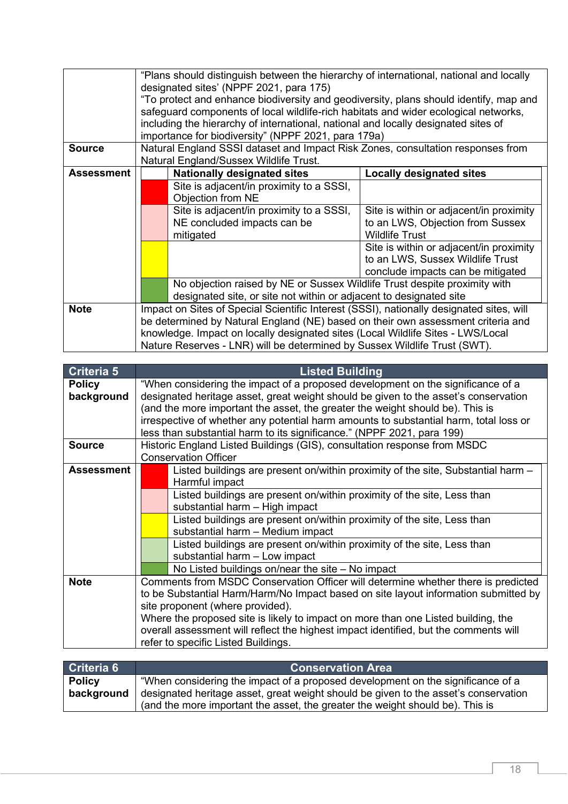| <b>Source</b>     | "Plans should distinguish between the hierarchy of international, national and locally<br>designated sites' (NPPF 2021, para 175)<br>"To protect and enhance biodiversity and geodiversity, plans should identify, map and<br>safeguard components of local wildlife-rich habitats and wider ecological networks,<br>including the hierarchy of international, national and locally designated sites of<br>importance for biodiversity" (NPPF 2021, para 179a)<br>Natural England SSSI dataset and Impact Risk Zones, consultation responses from<br>Natural England/Sussex Wildlife Trust. |                                         |  |
|-------------------|---------------------------------------------------------------------------------------------------------------------------------------------------------------------------------------------------------------------------------------------------------------------------------------------------------------------------------------------------------------------------------------------------------------------------------------------------------------------------------------------------------------------------------------------------------------------------------------------|-----------------------------------------|--|
| <b>Assessment</b> | <b>Nationally designated sites</b>                                                                                                                                                                                                                                                                                                                                                                                                                                                                                                                                                          | Locally designated sites                |  |
|                   | Site is adjacent/in proximity to a SSSI,<br>Objection from NE                                                                                                                                                                                                                                                                                                                                                                                                                                                                                                                               |                                         |  |
|                   | Site is adjacent/in proximity to a SSSI,                                                                                                                                                                                                                                                                                                                                                                                                                                                                                                                                                    | Site is within or adjacent/in proximity |  |
|                   | NE concluded impacts can be                                                                                                                                                                                                                                                                                                                                                                                                                                                                                                                                                                 | to an LWS, Objection from Sussex        |  |
|                   | mitigated                                                                                                                                                                                                                                                                                                                                                                                                                                                                                                                                                                                   | <b>Wildlife Trust</b>                   |  |
|                   |                                                                                                                                                                                                                                                                                                                                                                                                                                                                                                                                                                                             | Site is within or adjacent/in proximity |  |
|                   |                                                                                                                                                                                                                                                                                                                                                                                                                                                                                                                                                                                             | to an LWS, Sussex Wildlife Trust        |  |
|                   |                                                                                                                                                                                                                                                                                                                                                                                                                                                                                                                                                                                             | conclude impacts can be mitigated       |  |
|                   | No objection raised by NE or Sussex Wildlife Trust despite proximity with                                                                                                                                                                                                                                                                                                                                                                                                                                                                                                                   |                                         |  |
|                   | designated site, or site not within or adjacent to designated site                                                                                                                                                                                                                                                                                                                                                                                                                                                                                                                          |                                         |  |
| <b>Note</b>       | Impact on Sites of Special Scientific Interest (SSSI), nationally designated sites, will                                                                                                                                                                                                                                                                                                                                                                                                                                                                                                    |                                         |  |
|                   | be determined by Natural England (NE) based on their own assessment criteria and                                                                                                                                                                                                                                                                                                                                                                                                                                                                                                            |                                         |  |
|                   | knowledge. Impact on locally designated sites (Local Wildlife Sites - LWS/Local                                                                                                                                                                                                                                                                                                                                                                                                                                                                                                             |                                         |  |
|                   | Nature Reserves - LNR) will be determined by Sussex Wildlife Trust (SWT).                                                                                                                                                                                                                                                                                                                                                                                                                                                                                                                   |                                         |  |

| Criteria 5                  | <b>Listed Building</b>                                                                                                                                                                                                                                                                                                                                                                                                                                                                         |  |
|-----------------------------|------------------------------------------------------------------------------------------------------------------------------------------------------------------------------------------------------------------------------------------------------------------------------------------------------------------------------------------------------------------------------------------------------------------------------------------------------------------------------------------------|--|
| <b>Policy</b><br>background | "When considering the impact of a proposed development on the significance of a<br>designated heritage asset, great weight should be given to the asset's conservation<br>(and the more important the asset, the greater the weight should be). This is<br>irrespective of whether any potential harm amounts to substantial harm, total loss or<br>less than substantial harm to its significance." (NPPF 2021, para 199)                                                                     |  |
| <b>Source</b>               | Historic England Listed Buildings (GIS), consultation response from MSDC<br><b>Conservation Officer</b>                                                                                                                                                                                                                                                                                                                                                                                        |  |
| <b>Assessment</b>           | Listed buildings are present on/within proximity of the site, Substantial harm -<br>Harmful impact<br>Listed buildings are present on/within proximity of the site, Less than<br>substantial harm - High impact<br>Listed buildings are present on/within proximity of the site, Less than<br>substantial harm - Medium impact<br>Listed buildings are present on/within proximity of the site, Less than<br>substantial harm - Low impact<br>No Listed buildings on/near the site - No impact |  |
| <b>Note</b>                 | Comments from MSDC Conservation Officer will determine whether there is predicted<br>to be Substantial Harm/Harm/No Impact based on site layout information submitted by<br>site proponent (where provided).<br>Where the proposed site is likely to impact on more than one Listed building, the<br>overall assessment will reflect the highest impact identified, but the comments will<br>refer to specific Listed Buildings.                                                               |  |

| Criteria 6                  | <b>Conservation Area</b>                                                                                                                                                                                                                                |
|-----------------------------|---------------------------------------------------------------------------------------------------------------------------------------------------------------------------------------------------------------------------------------------------------|
| <b>Policy</b><br>background | "When considering the impact of a proposed development on the significance of a<br>designated heritage asset, great weight should be given to the asset's conservation<br>(and the more important the asset, the greater the weight should be). This is |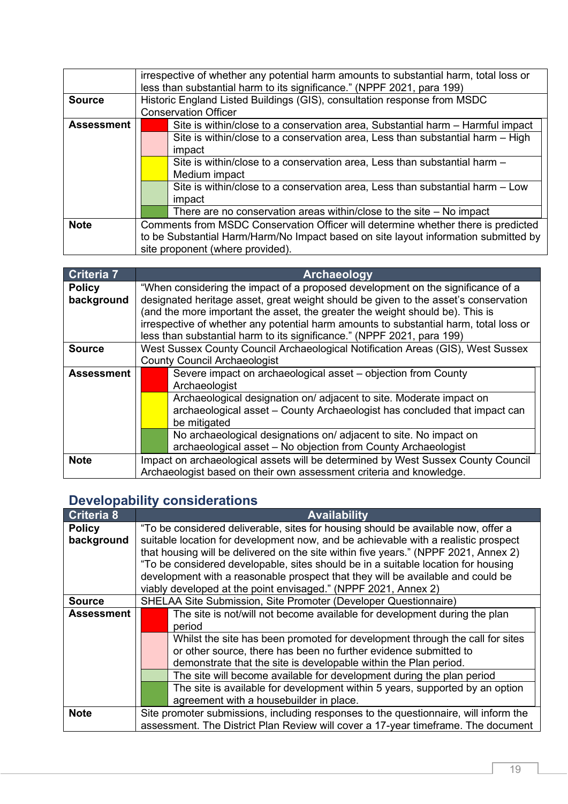|                   | irrespective of whether any potential harm amounts to substantial harm, total loss or<br>less than substantial harm to its significance." (NPPF 2021, para 199) |                                                                                                                                                                                                                                                                                                                                                                     |
|-------------------|-----------------------------------------------------------------------------------------------------------------------------------------------------------------|---------------------------------------------------------------------------------------------------------------------------------------------------------------------------------------------------------------------------------------------------------------------------------------------------------------------------------------------------------------------|
| <b>Source</b>     |                                                                                                                                                                 | Historic England Listed Buildings (GIS), consultation response from MSDC<br><b>Conservation Officer</b>                                                                                                                                                                                                                                                             |
| <b>Assessment</b> |                                                                                                                                                                 | Site is within/close to a conservation area, Substantial harm – Harmful impact<br>Site is within/close to a conservation area, Less than substantial harm - High<br>impact<br>Site is within/close to a conservation area, Less than substantial harm -<br>Medium impact<br>Site is within/close to a conservation area, Less than substantial harm - Low<br>impact |
|                   |                                                                                                                                                                 | There are no conservation areas within/close to the site $-$ No impact                                                                                                                                                                                                                                                                                              |
| <b>Note</b>       | Comments from MSDC Conservation Officer will determine whether there is predicted                                                                               |                                                                                                                                                                                                                                                                                                                                                                     |
|                   | to be Substantial Harm/Harm/No Impact based on site layout information submitted by<br>site proponent (where provided).                                         |                                                                                                                                                                                                                                                                                                                                                                     |

| Criteria 7                  | Archaeology                                                                                                                                                                                                                                                                                                                                                                                                                |  |
|-----------------------------|----------------------------------------------------------------------------------------------------------------------------------------------------------------------------------------------------------------------------------------------------------------------------------------------------------------------------------------------------------------------------------------------------------------------------|--|
| <b>Policy</b><br>background | "When considering the impact of a proposed development on the significance of a<br>designated heritage asset, great weight should be given to the asset's conservation<br>(and the more important the asset, the greater the weight should be). This is<br>irrespective of whether any potential harm amounts to substantial harm, total loss or<br>less than substantial harm to its significance." (NPPF 2021, para 199) |  |
| <b>Source</b>               | West Sussex County Council Archaeological Notification Areas (GIS), West Sussex<br><b>County Council Archaeologist</b>                                                                                                                                                                                                                                                                                                     |  |
| <b>Assessment</b>           | Severe impact on archaeological asset – objection from County<br>Archaeologist<br>Archaeological designation on/adjacent to site. Moderate impact on<br>archaeological asset - County Archaeologist has concluded that impact can                                                                                                                                                                                          |  |
|                             | be mitigated<br>No archaeological designations on/adjacent to site. No impact on<br>archaeological asset - No objection from County Archaeologist                                                                                                                                                                                                                                                                          |  |
| <b>Note</b>                 | Impact on archaeological assets will be determined by West Sussex County Council<br>Archaeologist based on their own assessment criteria and knowledge.                                                                                                                                                                                                                                                                    |  |

## **Developability considerations**

| Criteria 8    | <b>Availability</b>                                                                  |  |  |
|---------------|--------------------------------------------------------------------------------------|--|--|
| <b>Policy</b> | "To be considered deliverable, sites for housing should be available now, offer a    |  |  |
| background    | suitable location for development now, and be achievable with a realistic prospect   |  |  |
|               | that housing will be delivered on the site within five years." (NPPF 2021, Annex 2)  |  |  |
|               | "To be considered developable, sites should be in a suitable location for housing    |  |  |
|               | development with a reasonable prospect that they will be available and could be      |  |  |
|               | viably developed at the point envisaged." (NPPF 2021, Annex 2)                       |  |  |
| <b>Source</b> | SHELAA Site Submission, Site Promoter (Developer Questionnaire)                      |  |  |
| Assessment    | The site is not/will not become available for development during the plan            |  |  |
|               | period                                                                               |  |  |
|               | Whilst the site has been promoted for development through the call for sites         |  |  |
|               | or other source, there has been no further evidence submitted to                     |  |  |
|               | demonstrate that the site is developable within the Plan period.                     |  |  |
|               | The site will become available for development during the plan period                |  |  |
|               | The site is available for development within 5 years, supported by an option         |  |  |
|               | agreement with a housebuilder in place.                                              |  |  |
| <b>Note</b>   | Site promoter submissions, including responses to the questionnaire, will inform the |  |  |
|               | assessment. The District Plan Review will cover a 17-year timeframe. The document    |  |  |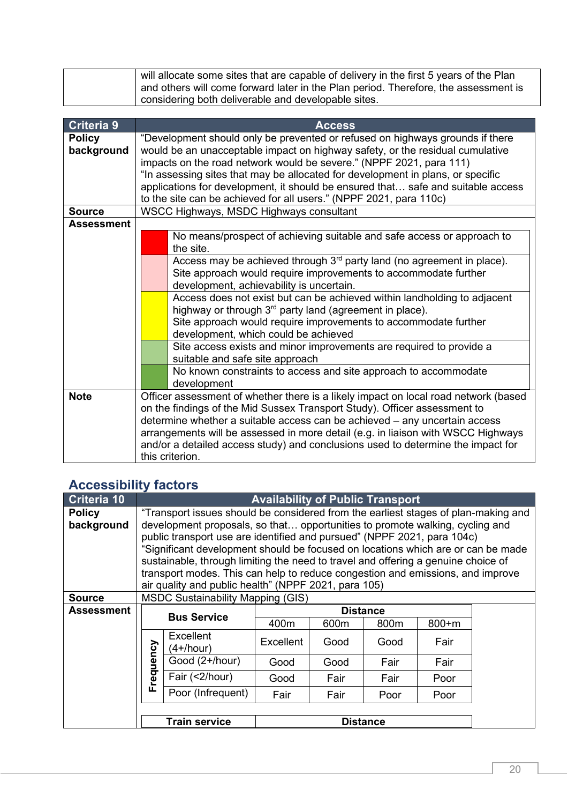| $\frac{1}{1}$ will allocate some sites that are capable of delivery in the first 5 years of the Plan |
|------------------------------------------------------------------------------------------------------|
| and others will come forward later in the Plan period. Therefore, the assessment is                  |
| considering both deliverable and developable sites.                                                  |

| <b>Criteria 9</b> | <b>Access</b>                                                                    |                                                                                                         |  |  |  |
|-------------------|----------------------------------------------------------------------------------|---------------------------------------------------------------------------------------------------------|--|--|--|
| <b>Policy</b>     | "Development should only be prevented or refused on highways grounds if there    |                                                                                                         |  |  |  |
| background        | would be an unacceptable impact on highway safety, or the residual cumulative    |                                                                                                         |  |  |  |
|                   |                                                                                  | impacts on the road network would be severe." (NPPF 2021, para 111)                                     |  |  |  |
|                   |                                                                                  | "In assessing sites that may be allocated for development in plans, or specific                         |  |  |  |
|                   |                                                                                  | applications for development, it should be ensured that safe and suitable access                        |  |  |  |
|                   |                                                                                  | to the site can be achieved for all users." (NPPF 2021, para 110c)                                      |  |  |  |
| <b>Source</b>     |                                                                                  | WSCC Highways, MSDC Highways consultant                                                                 |  |  |  |
| <b>Assessment</b> |                                                                                  |                                                                                                         |  |  |  |
|                   |                                                                                  | No means/prospect of achieving suitable and safe access or approach to                                  |  |  |  |
|                   |                                                                                  | the site.                                                                                               |  |  |  |
|                   |                                                                                  | Access may be achieved through 3 <sup>rd</sup> party land (no agreement in place).                      |  |  |  |
|                   |                                                                                  | Site approach would require improvements to accommodate further                                         |  |  |  |
|                   |                                                                                  | development, achievability is uncertain.                                                                |  |  |  |
|                   |                                                                                  | Access does not exist but can be achieved within landholding to adjacent                                |  |  |  |
|                   |                                                                                  | highway or through 3 <sup>rd</sup> party land (agreement in place).                                     |  |  |  |
|                   |                                                                                  | Site approach would require improvements to accommodate further<br>development, which could be achieved |  |  |  |
|                   |                                                                                  | Site access exists and minor improvements are required to provide a                                     |  |  |  |
|                   |                                                                                  | suitable and safe site approach                                                                         |  |  |  |
|                   |                                                                                  | No known constraints to access and site approach to accommodate                                         |  |  |  |
|                   |                                                                                  | development                                                                                             |  |  |  |
| <b>Note</b>       |                                                                                  | Officer assessment of whether there is a likely impact on local road network (based                     |  |  |  |
|                   | on the findings of the Mid Sussex Transport Study). Officer assessment to        |                                                                                                         |  |  |  |
|                   | determine whether a suitable access can be achieved - any uncertain access       |                                                                                                         |  |  |  |
|                   | arrangements will be assessed in more detail (e.g. in liaison with WSCC Highways |                                                                                                         |  |  |  |
|                   | and/or a detailed access study) and conclusions used to determine the impact for |                                                                                                         |  |  |  |
|                   | this criterion.                                                                  |                                                                                                         |  |  |  |

## **Accessibility factors**

| <b>Criteria 10</b> | <b>Availability of Public Transport</b>                                            |                                                                                   |                 |      |      |           |  |
|--------------------|------------------------------------------------------------------------------------|-----------------------------------------------------------------------------------|-----------------|------|------|-----------|--|
| <b>Policy</b>      | "Transport issues should be considered from the earliest stages of plan-making and |                                                                                   |                 |      |      |           |  |
| background         |                                                                                    | development proposals, so that opportunities to promote walking, cycling and      |                 |      |      |           |  |
|                    |                                                                                    | public transport use are identified and pursued" (NPPF 2021, para 104c)           |                 |      |      |           |  |
|                    |                                                                                    | "Significant development should be focused on locations which are or can be made  |                 |      |      |           |  |
|                    |                                                                                    | sustainable, through limiting the need to travel and offering a genuine choice of |                 |      |      |           |  |
|                    |                                                                                    | transport modes. This can help to reduce congestion and emissions, and improve    |                 |      |      |           |  |
|                    |                                                                                    | air quality and public health" (NPPF 2021, para 105)                              |                 |      |      |           |  |
| <b>Source</b>      | <b>MSDC Sustainability Mapping (GIS)</b>                                           |                                                                                   |                 |      |      |           |  |
| <b>Assessment</b>  |                                                                                    | <b>Bus Service</b>                                                                | <b>Distance</b> |      |      |           |  |
|                    |                                                                                    |                                                                                   | 400m            | 600m | 800m | $800 + m$ |  |
|                    |                                                                                    | Excellent<br>$(4+/hour)$                                                          | Excellent       | Good | Good | Fair      |  |
|                    | requency                                                                           | Good (2+/hour)                                                                    | Good            | Good | Fair | Fair      |  |
|                    | щ                                                                                  | Fair (<2/hour)                                                                    | Good            | Fair | Fair | Poor      |  |
|                    |                                                                                    | Poor (Infrequent)                                                                 | Fair            | Fair | Poor | Poor      |  |
|                    |                                                                                    |                                                                                   |                 |      |      |           |  |
|                    |                                                                                    | <b>Train service</b>                                                              | <b>Distance</b> |      |      |           |  |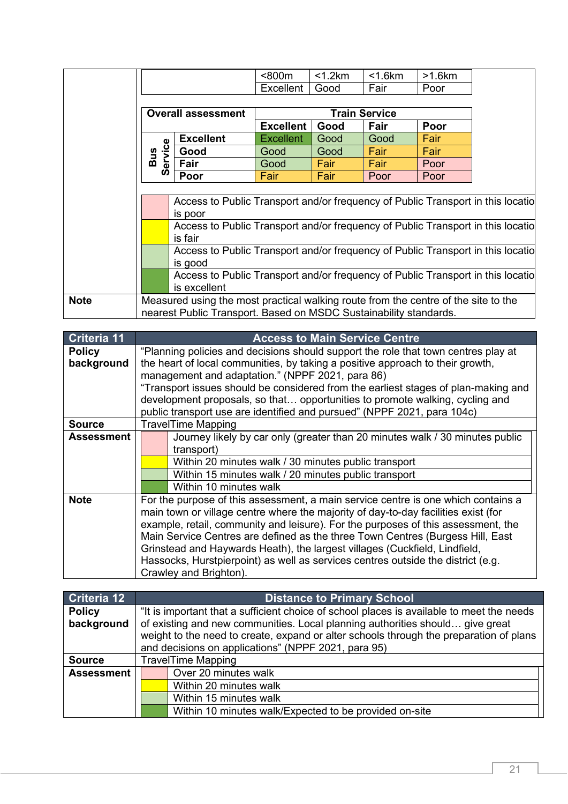|             |                                                                                    |                                                                                 | $800m$               | $<$ 1.2 $km$ | $<$ 1.6 $km$ | >1.6km |  |
|-------------|------------------------------------------------------------------------------------|---------------------------------------------------------------------------------|----------------------|--------------|--------------|--------|--|
|             |                                                                                    |                                                                                 | <b>Excellent</b>     | Good         | Fair         | Poor   |  |
|             | <b>Overall assessment</b>                                                          |                                                                                 |                      |              |              |        |  |
|             |                                                                                    |                                                                                 | <b>Train Service</b> |              |              |        |  |
|             |                                                                                    |                                                                                 | <b>Excellent</b>     | Good         | <b>Fair</b>  | Poor   |  |
|             | Φ                                                                                  | <b>Excellent</b>                                                                | <b>Excellent</b>     | Good         | Good         | Fair   |  |
|             | <b>Bus</b><br>ervice                                                               | Good                                                                            | Good                 | Good         | Fair         | Fair   |  |
|             |                                                                                    | Fair                                                                            | Good                 | Fair         | Fair         | Poor   |  |
|             | ഗ                                                                                  | Poor                                                                            | Fair                 | Fair         | Poor         | Poor   |  |
|             |                                                                                    |                                                                                 |                      |              |              |        |  |
|             |                                                                                    | Access to Public Transport and/or frequency of Public Transport in this locatio |                      |              |              |        |  |
|             |                                                                                    | is poor                                                                         |                      |              |              |        |  |
|             |                                                                                    | Access to Public Transport and/or frequency of Public Transport in this locatio |                      |              |              |        |  |
|             |                                                                                    | is fair                                                                         |                      |              |              |        |  |
|             |                                                                                    | Access to Public Transport and/or frequency of Public Transport in this locatio |                      |              |              |        |  |
|             |                                                                                    | is good                                                                         |                      |              |              |        |  |
|             |                                                                                    | Access to Public Transport and/or frequency of Public Transport in this locatio |                      |              |              |        |  |
|             |                                                                                    | is excellent                                                                    |                      |              |              |        |  |
| <b>Note</b> | Measured using the most practical walking route from the centre of the site to the |                                                                                 |                      |              |              |        |  |
|             | nearest Public Transport. Based on MSDC Sustainability standards.                  |                                                                                 |                      |              |              |        |  |

| <b>Criteria 11</b> | <b>Access to Main Service Centre</b>                                               |                                                                                    |  |
|--------------------|------------------------------------------------------------------------------------|------------------------------------------------------------------------------------|--|
| <b>Policy</b>      | "Planning policies and decisions should support the role that town centres play at |                                                                                    |  |
| background         |                                                                                    | the heart of local communities, by taking a positive approach to their growth,     |  |
|                    |                                                                                    | management and adaptation." (NPPF 2021, para 86)                                   |  |
|                    |                                                                                    | "Transport issues should be considered from the earliest stages of plan-making and |  |
|                    |                                                                                    | development proposals, so that opportunities to promote walking, cycling and       |  |
|                    |                                                                                    | public transport use are identified and pursued" (NPPF 2021, para 104c)            |  |
| <b>Source</b>      |                                                                                    | <b>TravelTime Mapping</b>                                                          |  |
| Assessment         |                                                                                    | Journey likely by car only (greater than 20 minutes walk / 30 minutes public       |  |
|                    |                                                                                    | transport)                                                                         |  |
|                    |                                                                                    | Within 20 minutes walk / 30 minutes public transport                               |  |
|                    |                                                                                    | Within 15 minutes walk / 20 minutes public transport                               |  |
|                    |                                                                                    | Within 10 minutes walk                                                             |  |
| <b>Note</b>        |                                                                                    | For the purpose of this assessment, a main service centre is one which contains a  |  |
|                    |                                                                                    | main town or village centre where the majority of day-to-day facilities exist (for |  |
|                    | example, retail, community and leisure). For the purposes of this assessment, the  |                                                                                    |  |
|                    | Main Service Centres are defined as the three Town Centres (Burgess Hill, East     |                                                                                    |  |
|                    | Grinstead and Haywards Heath), the largest villages (Cuckfield, Lindfield,         |                                                                                    |  |
|                    |                                                                                    | Hassocks, Hurstpierpoint) as well as services centres outside the district (e.g.   |  |
|                    | Crawley and Brighton).                                                             |                                                                                    |  |
|                    |                                                                                    |                                                                                    |  |

| Criteria 12       | <b>Distance to Primary School</b>                                                         |  |  |
|-------------------|-------------------------------------------------------------------------------------------|--|--|
| <b>Policy</b>     | "It is important that a sufficient choice of school places is available to meet the needs |  |  |
| background        | of existing and new communities. Local planning authorities should give great             |  |  |
|                   | weight to the need to create, expand or alter schools through the preparation of plans    |  |  |
|                   | and decisions on applications" (NPPF 2021, para 95)                                       |  |  |
| <b>Source</b>     | <b>TravelTime Mapping</b>                                                                 |  |  |
| <b>Assessment</b> | Over 20 minutes walk                                                                      |  |  |
|                   | Within 20 minutes walk                                                                    |  |  |
|                   | Within 15 minutes walk                                                                    |  |  |
|                   | Within 10 minutes walk/Expected to be provided on-site                                    |  |  |